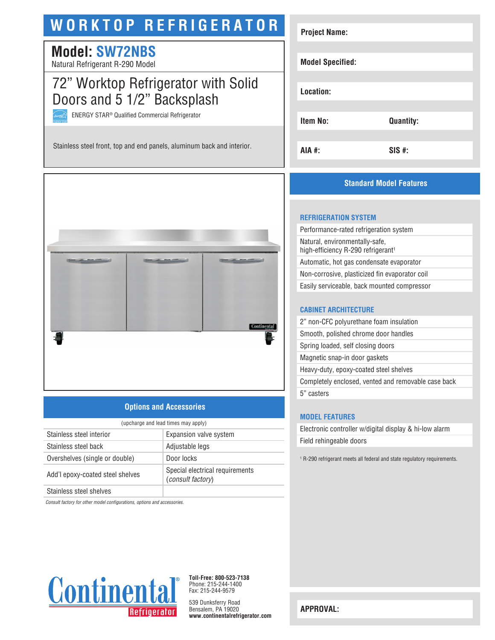# **WORKTOP REFRIGERATOR**

## **Model: SW72NBS**

Natural Refrigerant R-290 Model

## 72" Worktop Refrigerator with Solid Doors and 5 1/2" Backsplash

ENERGY STAR® Qualified Commercial Refrigerator

Stainless steel front, top and end panels, aluminum back and interior.



## **Options and Accessories**

| (upcharge and lead times may apply) |                                                             |  |
|-------------------------------------|-------------------------------------------------------------|--|
| Stainless steel interior            | Expansion valve system                                      |  |
| Stainless steel back                | Adjustable legs                                             |  |
| Overshelves (single or double)      | Door locks                                                  |  |
| Add'l epoxy-coated steel shelves    | Special electrical requirements<br><i>(consult factory)</i> |  |
| Chaimlean sheal shahusa             |                                                             |  |

Stainless steel shelves

*Consult factory for other model configurations, options and accessories.*



**Toll-Free: 800-523-7138** Phone: 215-244-1400 Fax: 215-244-9579

539 Dunksferry Road Bensalem, PA 19020 **www.continentalrefrigerator.com** 

| <b>Project Name:</b>    |                  |
|-------------------------|------------------|
|                         |                  |
| <b>Model Specified:</b> |                  |
|                         |                  |
| Location:               |                  |
|                         |                  |
| <b>Item No:</b>         | <b>Quantity:</b> |
|                         |                  |
| AIA #:                  | $SIS$ #:         |

### **Standard Model Features**

#### **REFRIGERATION SYSTEM**

Performance-rated refrigeration system Natural, environmentally-safe, high-efficiency R-290 refrigerant<sup>1</sup> Automatic, hot gas condensate evaporator Non-corrosive, plasticized fin evaporator coil Easily serviceable, back mounted compressor

#### **CABINET ARCHITECTURE**

| 2" non-CFC polyurethane foam insulation             |
|-----------------------------------------------------|
| Smooth, polished chrome door handles                |
| Spring loaded, self closing doors                   |
| Magnetic snap-in door gaskets                       |
| Heavy-duty, epoxy-coated steel shelves              |
| Completely enclosed, vented and removable case back |
| 5" casters                                          |
|                                                     |

#### **MODEL FEATURES**

Electronic controller w/digital display & hi-low alarm Field rehingeable doors

1 R-290 refrigerant meets all federal and state regulatory requirements.

**APPROVAL:**